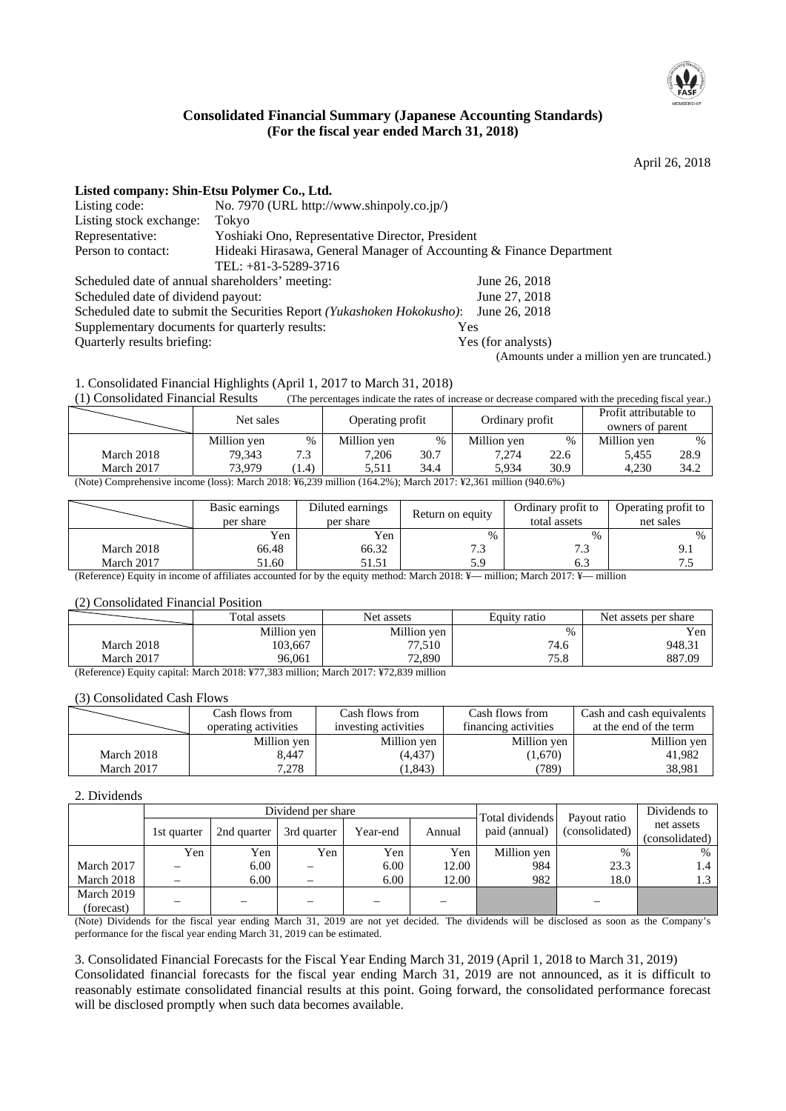

## **Consolidated Financial Summary (Japanese Accounting Standards) (For the fiscal year ended March 31, 2018)**

April 26, 2018

| Listed company: Shin-Etsu Polymer Co., Ltd.     |                                                                                              |                                              |
|-------------------------------------------------|----------------------------------------------------------------------------------------------|----------------------------------------------|
| Listing code:                                   | No. 7970 (URL http://www.shinpoly.co.jp/)                                                    |                                              |
| Listing stock exchange:                         | Tokyo                                                                                        |                                              |
| Representative:                                 | Yoshiaki Ono, Representative Director, President                                             |                                              |
| Person to contact:                              | Hideaki Hirasawa, General Manager of Accounting & Finance Department<br>TEL: +81-3-5289-3716 |                                              |
| Scheduled date of annual shareholders' meeting: |                                                                                              | June 26, 2018                                |
| Scheduled date of dividend payout:              |                                                                                              | June 27, 2018                                |
|                                                 | Scheduled date to submit the Securities Report (Yukashoken Hokokusho):                       | June 26, 2018                                |
| Supplementary documents for quarterly results:  |                                                                                              | Yes                                          |
| Quarterly results briefing:                     |                                                                                              | Yes (for analysts)                           |
|                                                 |                                                                                              | (Amounts under a million yen are truncated.) |

1. Consolidated Financial Highlights (April 1, 2017 to March 31, 2018)

(1) Consolidated Financial Results (The percentages indicate the rates of increase or decrease compared with the preceding fiscal year.)

|                                                                                                                  | Net sales   |      | Operating profit |      | Ordinary profit |      | Profit attributable to<br>owners of parent |      |  |
|------------------------------------------------------------------------------------------------------------------|-------------|------|------------------|------|-----------------|------|--------------------------------------------|------|--|
|                                                                                                                  | Million yen | $\%$ | Million yen      | %    | Million yen     | $\%$ | Million yen                                | $\%$ |  |
| March 2018                                                                                                       | 79.343      | 7.3  | 7.206            | 30.7 | 7.274           | 22.6 | 5.455                                      | 28.9 |  |
| March 2017                                                                                                       | 73.979      | 1.4) | 5.511            | 34.4 | 5.934           | 30.9 | 4.230                                      | 34.2 |  |
| (Note) Comprehensive income (loss): March 2018: $46.239$ million (164.2%): March 2017: $42.361$ million (940.6%) |             |      |                  |      |                 |      |                                            |      |  |

(Note) Comprehensive income (loss): March 2018: ¥6,239 million (164.2%); March 2017: ¥2,361 million (940.6%)

|                | Basic earnings<br>per share                 | Diluted earnings<br>per share | Return on equity | Ordinary profit to<br>total assets           | Operating profit to<br>net sales |
|----------------|---------------------------------------------|-------------------------------|------------------|----------------------------------------------|----------------------------------|
|                | Yen                                         | Yen                           | $\%$             | %                                            | $\%$                             |
| March 2018     | 66.48                                       | 66.32                         | ل.               |                                              |                                  |
| March 2017     | 51.60                                       | 51.51                         | 5.9              |                                              |                                  |
| $\sim$<br>$ -$ | $\alpha$ $\alpha$ $\alpha$<br>$\sim$ $\sim$ |                               | <br>20.40<br>.   | $\sim$ $\sim$ $\sim$ $\sim$<br>$\sim$ $\sim$ |                                  |

(Reference) Equity in income of affiliates accounted for by the equity method: March 2018: ¥— million; March 2017: ¥— million

#### (2) Consolidated Financial Position

|            | Total assets | Net assets  | Equity ratio | Net assets per share |
|------------|--------------|-------------|--------------|----------------------|
|            | Million yen  | Million yen | $\%$         | Yen                  |
| March 2018 | 103,667      | 77,510      | 74.6         | 948.31               |
| March 2017 | 96.061       | 72.890      | 75.8         | 887.09               |

(Reference) Equity capital: March 2018: ¥77,383 million; March 2017: ¥72,839 million

#### (3) Consolidated Cash Flows

|            | Cash flows from      | Cash flows from      | Cash flows from      | Cash and cash equivalents |
|------------|----------------------|----------------------|----------------------|---------------------------|
|            | operating activities | investing activities | financing activities | at the end of the term    |
|            | Million yen          | Million yen          | Million yen          | Million yen               |
| March 2018 | 8.447                | (4,437)              | (1,670)              | 41.982                    |
| March 2017 | 7,278                | 1,843)               | (789)                | 38.981                    |

#### 2. Dividends

|                          | Dividend per share       |             |             |          |        |                                  | Payout ratio   | Dividends to                 |
|--------------------------|--------------------------|-------------|-------------|----------|--------|----------------------------------|----------------|------------------------------|
|                          | 1st quarter              | 2nd quarter | 3rd quarter | Year-end | Annual | Total dividends<br>paid (annual) | (consolidated) | net assets<br>(consolidated) |
|                          | Yen                      | Yen         | Yen         | Yen      | Yen    | Million yen                      | $\%$           | $\%$                         |
| March 2017               | $\overline{\phantom{m}}$ | 6.00        |             | 6.00     | 12.00  | 984                              | 23.3           | 1.4                          |
| March 2018               |                          | 6.00        |             | 6.00     | 12.00  | 982                              | 18.0           | 1.3                          |
| March 2019<br>(forecast) |                          |             |             |          |        |                                  |                |                              |

(Note) Dividends for the fiscal year ending March 31, 2019 are not yet decided. The dividends will be disclosed as soon as the Company's performance for the fiscal year ending March 31, 2019 can be estimated.

3. Consolidated Financial Forecasts for the Fiscal Year Ending March 31, 2019 (April 1, 2018 to March 31, 2019)

Consolidated financial forecasts for the fiscal year ending March 31, 2019 are not announced, as it is difficult to reasonably estimate consolidated financial results at this point. Going forward, the consolidated performance forecast will be disclosed promptly when such data becomes available.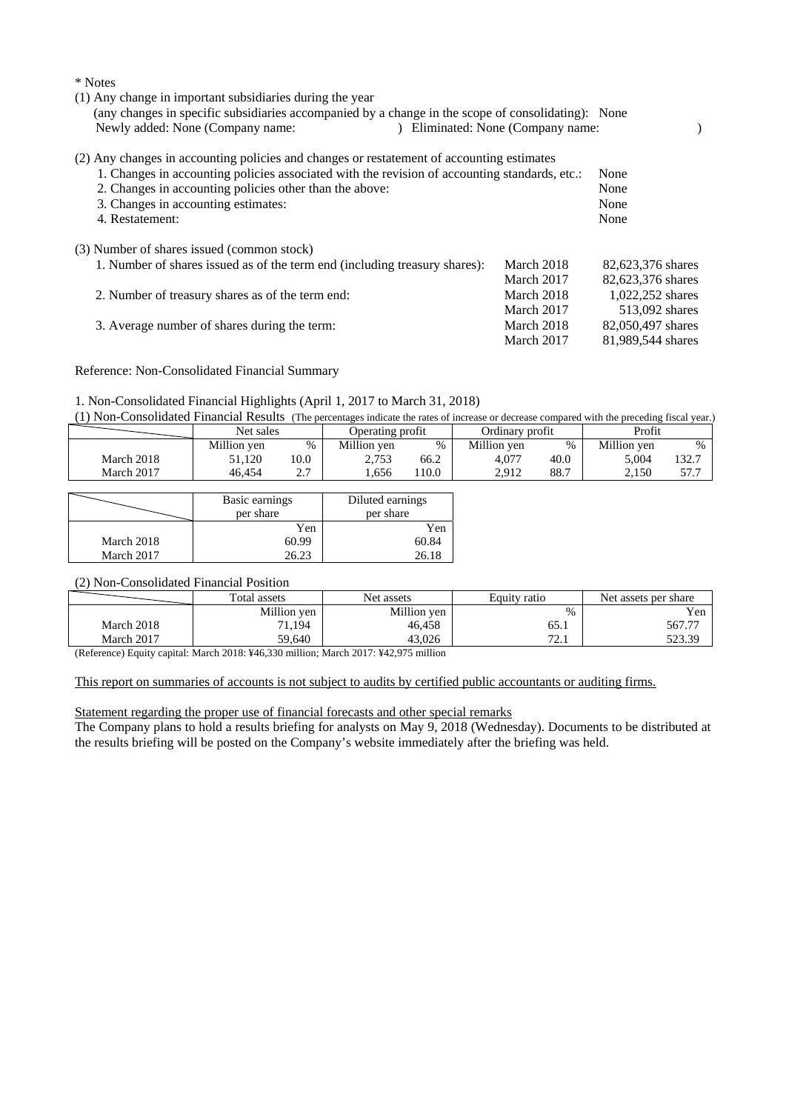| (1) Any change in important subsidiaries during the year<br>(any changes in specific subsidiaries accompanied by a change in the scope of consolidating): None<br>Newly added: None (Company name:                                                                                                              | ) Eliminated: None (Company name: |                              |
|-----------------------------------------------------------------------------------------------------------------------------------------------------------------------------------------------------------------------------------------------------------------------------------------------------------------|-----------------------------------|------------------------------|
| (2) Any changes in accounting policies and changes or restatement of accounting estimates<br>1. Changes in accounting policies associated with the revision of accounting standards, etc.:<br>2. Changes in accounting policies other than the above:<br>3. Changes in accounting estimates:<br>4. Restatement: |                                   | None<br>None<br>None<br>None |
| (3) Number of shares issued (common stock)                                                                                                                                                                                                                                                                      |                                   |                              |
| 1. Number of shares issued as of the term end (including treasury shares):                                                                                                                                                                                                                                      | March 2018                        | 82,623,376 shares            |
|                                                                                                                                                                                                                                                                                                                 | March 2017                        | 82,623,376 shares            |
| 2. Number of treasury shares as of the term end:                                                                                                                                                                                                                                                                | March 2018                        | 1,022,252 shares             |
|                                                                                                                                                                                                                                                                                                                 | March 2017                        | 513,092 shares               |
| 3. Average number of shares during the term:                                                                                                                                                                                                                                                                    | March 2018                        | 82,050,497 shares            |
|                                                                                                                                                                                                                                                                                                                 | March 2017                        | 81,989,544 shares            |

Reference: Non-Consolidated Financial Summary

\* Notes

#### 1. Non-Consolidated Financial Highlights (April 1, 2017 to March 31, 2018)

(1) Non-Consolidated Financial Results (The percentages indicate the rates of increase or decrease compared with the preceding fiscal year.)

|            | Net sales   |              | Operating profit |      | Ordinary profit |      | Profit      |       |
|------------|-------------|--------------|------------------|------|-----------------|------|-------------|-------|
|            | Million yen | %            | Million yen      | $\%$ | Million ven     | %    | Million ven | $\%$  |
| March 2018 | 51,120      | 10.0         | 2,753            | 66.2 | 4.077           | 40.0 | 5.004       | 132.7 |
| March 2017 | 46.454      | <u>، ، ،</u> | .656             | 10.0 | 2.912           | 88.7 | 2.150       | 57.7  |

|            | Basic earnings<br>per share | Diluted earnings<br>per share |
|------------|-----------------------------|-------------------------------|
|            | Yen                         | Yen                           |
| March 2018 | 60.99                       | 60.84                         |
| March 2017 | 26.23                       | 26.18                         |

## (2) Non-Consolidated Financial Position

|            | Total assets | Net assets  | Equity ratio | Net assets per share |
|------------|--------------|-------------|--------------|----------------------|
|            | Million yen  | Million yen | %            | Yen                  |
| March 2018 | 71,194       | 46,458      | 65.1         | 567.77               |
| March 2017 | 59.640       | 43.026      | 70<br>$\sim$ | 523.39               |

(Reference) Equity capital: March 2018: ¥46,330 million; March 2017: ¥42,975 million

#### This report on summaries of accounts is not subject to audits by certified public accountants or auditing firms.

#### Statement regarding the proper use of financial forecasts and other special remarks

The Company plans to hold a results briefing for analysts on May 9, 2018 (Wednesday). Documents to be distributed at the results briefing will be posted on the Company's website immediately after the briefing was held.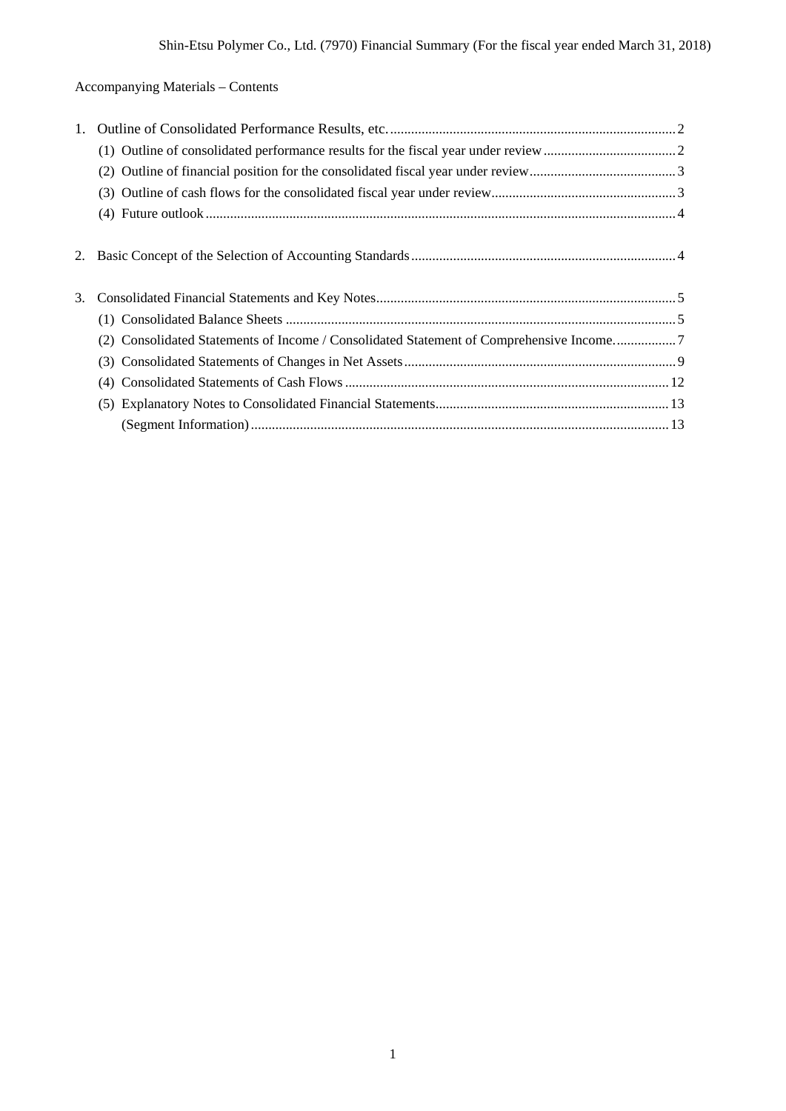Accompanying Materials – Contents

| 1. |                                                                                         |  |
|----|-----------------------------------------------------------------------------------------|--|
|    |                                                                                         |  |
|    |                                                                                         |  |
|    |                                                                                         |  |
|    |                                                                                         |  |
|    |                                                                                         |  |
| 2. |                                                                                         |  |
|    |                                                                                         |  |
|    |                                                                                         |  |
| 3. |                                                                                         |  |
|    |                                                                                         |  |
|    | (2) Consolidated Statements of Income / Consolidated Statement of Comprehensive Income7 |  |
|    |                                                                                         |  |
|    | (4)                                                                                     |  |
|    |                                                                                         |  |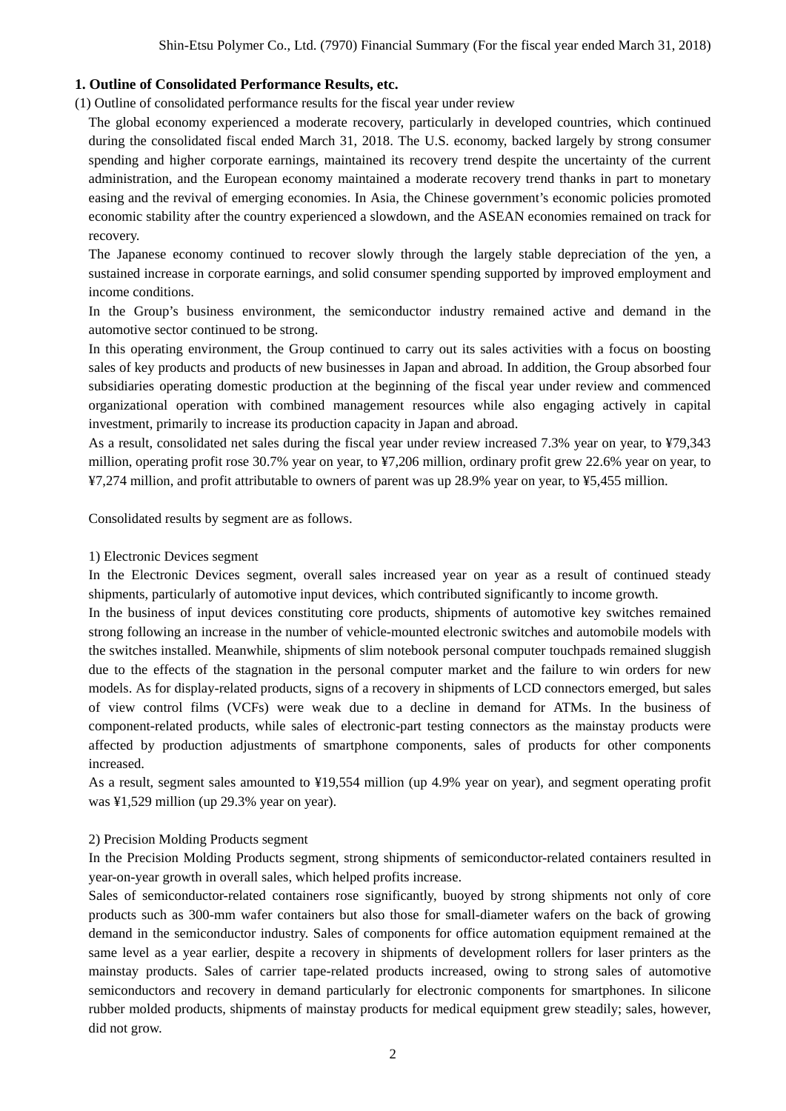## **1. Outline of Consolidated Performance Results, etc.**

(1) Outline of consolidated performance results for the fiscal year under review

The global economy experienced a moderate recovery, particularly in developed countries, which continued during the consolidated fiscal ended March 31, 2018. The U.S. economy, backed largely by strong consumer spending and higher corporate earnings, maintained its recovery trend despite the uncertainty of the current administration, and the European economy maintained a moderate recovery trend thanks in part to monetary easing and the revival of emerging economies. In Asia, the Chinese government's economic policies promoted economic stability after the country experienced a slowdown, and the ASEAN economies remained on track for recovery.

The Japanese economy continued to recover slowly through the largely stable depreciation of the yen, a sustained increase in corporate earnings, and solid consumer spending supported by improved employment and income conditions.

In the Group's business environment, the semiconductor industry remained active and demand in the automotive sector continued to be strong.

In this operating environment, the Group continued to carry out its sales activities with a focus on boosting sales of key products and products of new businesses in Japan and abroad. In addition, the Group absorbed four subsidiaries operating domestic production at the beginning of the fiscal year under review and commenced organizational operation with combined management resources while also engaging actively in capital investment, primarily to increase its production capacity in Japan and abroad.

As a result, consolidated net sales during the fiscal year under review increased 7.3% year on year, to ¥79,343 million, operating profit rose 30.7% year on year, to ¥7,206 million, ordinary profit grew 22.6% year on year, to ¥7,274 million, and profit attributable to owners of parent was up 28.9% year on year, to ¥5,455 million.

Consolidated results by segment are as follows.

#### 1) Electronic Devices segment

In the Electronic Devices segment, overall sales increased year on year as a result of continued steady shipments, particularly of automotive input devices, which contributed significantly to income growth.

In the business of input devices constituting core products, shipments of automotive key switches remained strong following an increase in the number of vehicle-mounted electronic switches and automobile models with the switches installed. Meanwhile, shipments of slim notebook personal computer touchpads remained sluggish due to the effects of the stagnation in the personal computer market and the failure to win orders for new models. As for display-related products, signs of a recovery in shipments of LCD connectors emerged, but sales of view control films (VCFs) were weak due to a decline in demand for ATMs. In the business of component-related products, while sales of electronic-part testing connectors as the mainstay products were affected by production adjustments of smartphone components, sales of products for other components increased.

As a result, segment sales amounted to ¥19,554 million (up 4.9% year on year), and segment operating profit was ¥1,529 million (up 29.3% year on year).

#### 2) Precision Molding Products segment

In the Precision Molding Products segment, strong shipments of semiconductor-related containers resulted in year-on-year growth in overall sales, which helped profits increase.

Sales of semiconductor-related containers rose significantly, buoyed by strong shipments not only of core products such as 300-mm wafer containers but also those for small-diameter wafers on the back of growing demand in the semiconductor industry. Sales of components for office automation equipment remained at the same level as a year earlier, despite a recovery in shipments of development rollers for laser printers as the mainstay products. Sales of carrier tape-related products increased, owing to strong sales of automotive semiconductors and recovery in demand particularly for electronic components for smartphones. In silicone rubber molded products, shipments of mainstay products for medical equipment grew steadily; sales, however, did not grow.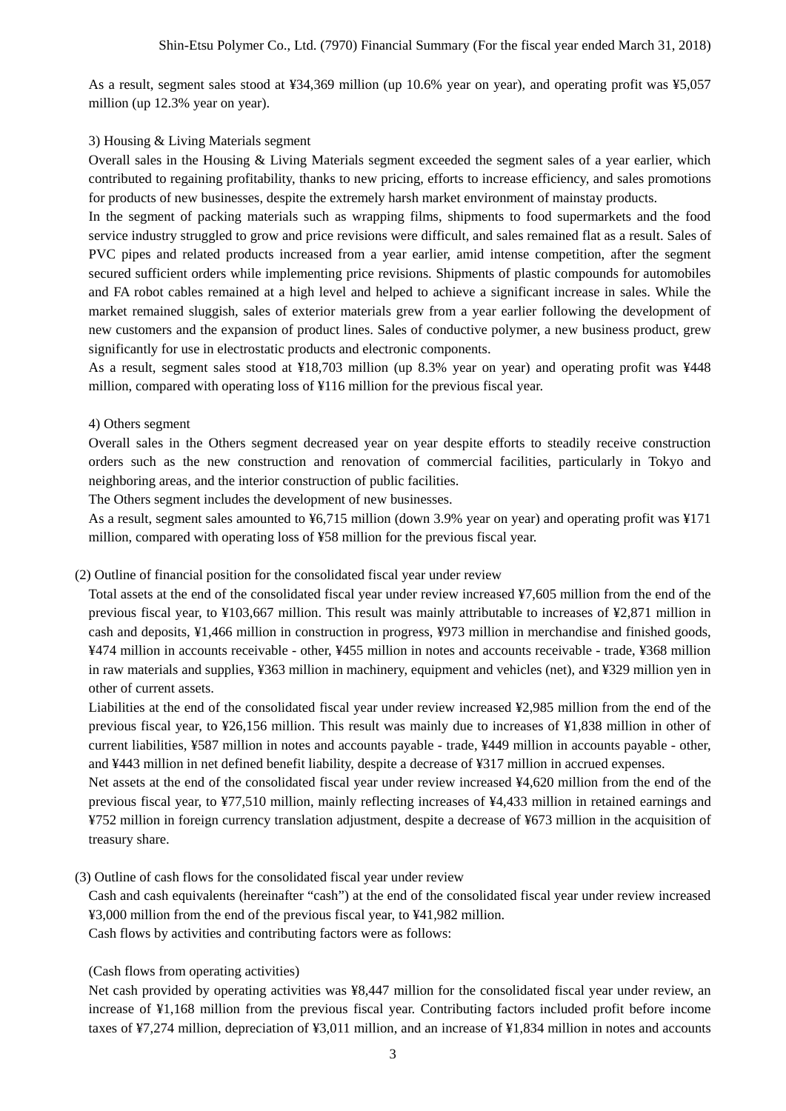As a result, segment sales stood at ¥34,369 million (up 10.6% year on year), and operating profit was ¥5,057 million (up 12.3% year on year).

#### 3) Housing & Living Materials segment

Overall sales in the Housing & Living Materials segment exceeded the segment sales of a year earlier, which contributed to regaining profitability, thanks to new pricing, efforts to increase efficiency, and sales promotions for products of new businesses, despite the extremely harsh market environment of mainstay products.

In the segment of packing materials such as wrapping films, shipments to food supermarkets and the food service industry struggled to grow and price revisions were difficult, and sales remained flat as a result. Sales of PVC pipes and related products increased from a year earlier, amid intense competition, after the segment secured sufficient orders while implementing price revisions. Shipments of plastic compounds for automobiles and FA robot cables remained at a high level and helped to achieve a significant increase in sales. While the market remained sluggish, sales of exterior materials grew from a year earlier following the development of new customers and the expansion of product lines. Sales of conductive polymer, a new business product, grew significantly for use in electrostatic products and electronic components.

As a result, segment sales stood at ¥18,703 million (up 8.3% year on year) and operating profit was ¥448 million, compared with operating loss of ¥116 million for the previous fiscal year.

#### 4) Others segment

Overall sales in the Others segment decreased year on year despite efforts to steadily receive construction orders such as the new construction and renovation of commercial facilities, particularly in Tokyo and neighboring areas, and the interior construction of public facilities.

The Others segment includes the development of new businesses.

As a result, segment sales amounted to ¥6,715 million (down 3.9% year on year) and operating profit was ¥171 million, compared with operating loss of ¥58 million for the previous fiscal year.

#### (2) Outline of financial position for the consolidated fiscal year under review

Total assets at the end of the consolidated fiscal year under review increased ¥7,605 million from the end of the previous fiscal year, to ¥103,667 million. This result was mainly attributable to increases of ¥2,871 million in cash and deposits, ¥1,466 million in construction in progress, ¥973 million in merchandise and finished goods, ¥474 million in accounts receivable - other, ¥455 million in notes and accounts receivable - trade, ¥368 million in raw materials and supplies, ¥363 million in machinery, equipment and vehicles (net), and ¥329 million yen in other of current assets.

Liabilities at the end of the consolidated fiscal year under review increased ¥2,985 million from the end of the previous fiscal year, to ¥26,156 million. This result was mainly due to increases of ¥1,838 million in other of current liabilities, ¥587 million in notes and accounts payable - trade, ¥449 million in accounts payable - other, and ¥443 million in net defined benefit liability, despite a decrease of ¥317 million in accrued expenses.

Net assets at the end of the consolidated fiscal year under review increased ¥4,620 million from the end of the previous fiscal year, to ¥77,510 million, mainly reflecting increases of ¥4,433 million in retained earnings and ¥752 million in foreign currency translation adjustment, despite a decrease of ¥673 million in the acquisition of treasury share.

(3) Outline of cash flows for the consolidated fiscal year under review

Cash and cash equivalents (hereinafter "cash") at the end of the consolidated fiscal year under review increased ¥3,000 million from the end of the previous fiscal year, to ¥41,982 million.

Cash flows by activities and contributing factors were as follows:

(Cash flows from operating activities)

Net cash provided by operating activities was ¥8,447 million for the consolidated fiscal year under review, an increase of ¥1,168 million from the previous fiscal year. Contributing factors included profit before income taxes of ¥7,274 million, depreciation of ¥3,011 million, and an increase of ¥1,834 million in notes and accounts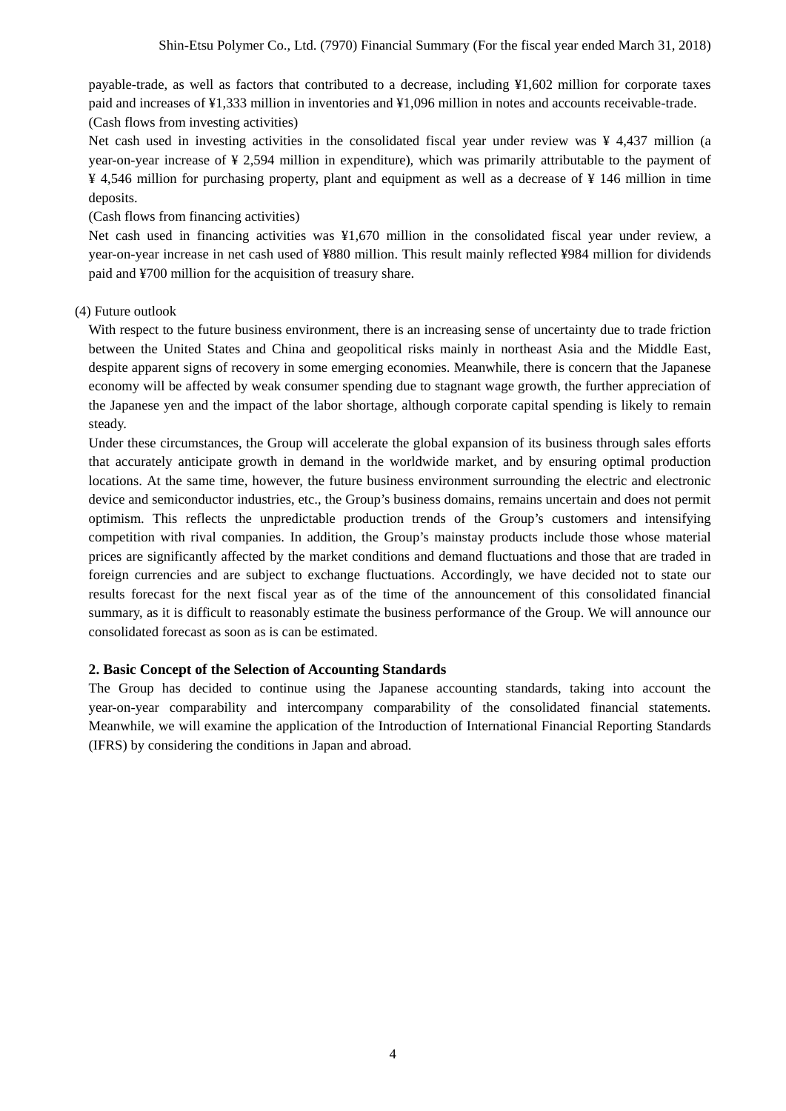payable-trade, as well as factors that contributed to a decrease, including ¥1,602 million for corporate taxes paid and increases of ¥1,333 million in inventories and ¥1,096 million in notes and accounts receivable-trade. (Cash flows from investing activities)

Net cash used in investing activities in the consolidated fiscal year under review was  $\frac{1}{4}$  4,437 million (a year-on-year increase of ¥ 2,594 million in expenditure), which was primarily attributable to the payment of ¥ 4,546 million for purchasing property, plant and equipment as well as a decrease of ¥ 146 million in time deposits.

#### (Cash flows from financing activities)

Net cash used in financing activities was ¥1,670 million in the consolidated fiscal year under review, a year-on-year increase in net cash used of ¥880 million. This result mainly reflected ¥984 million for dividends paid and ¥700 million for the acquisition of treasury share.

#### (4) Future outlook

With respect to the future business environment, there is an increasing sense of uncertainty due to trade friction between the United States and China and geopolitical risks mainly in northeast Asia and the Middle East, despite apparent signs of recovery in some emerging economies. Meanwhile, there is concern that the Japanese economy will be affected by weak consumer spending due to stagnant wage growth, the further appreciation of the Japanese yen and the impact of the labor shortage, although corporate capital spending is likely to remain steady.

Under these circumstances, the Group will accelerate the global expansion of its business through sales efforts that accurately anticipate growth in demand in the worldwide market, and by ensuring optimal production locations. At the same time, however, the future business environment surrounding the electric and electronic device and semiconductor industries, etc., the Group's business domains, remains uncertain and does not permit optimism. This reflects the unpredictable production trends of the Group's customers and intensifying competition with rival companies. In addition, the Group's mainstay products include those whose material prices are significantly affected by the market conditions and demand fluctuations and those that are traded in foreign currencies and are subject to exchange fluctuations. Accordingly, we have decided not to state our results forecast for the next fiscal year as of the time of the announcement of this consolidated financial summary, as it is difficult to reasonably estimate the business performance of the Group. We will announce our consolidated forecast as soon as is can be estimated.

#### **2. Basic Concept of the Selection of Accounting Standards**

The Group has decided to continue using the Japanese accounting standards, taking into account the year-on-year comparability and intercompany comparability of the consolidated financial statements. Meanwhile, we will examine the application of the Introduction of International Financial Reporting Standards (IFRS) by considering the conditions in Japan and abroad.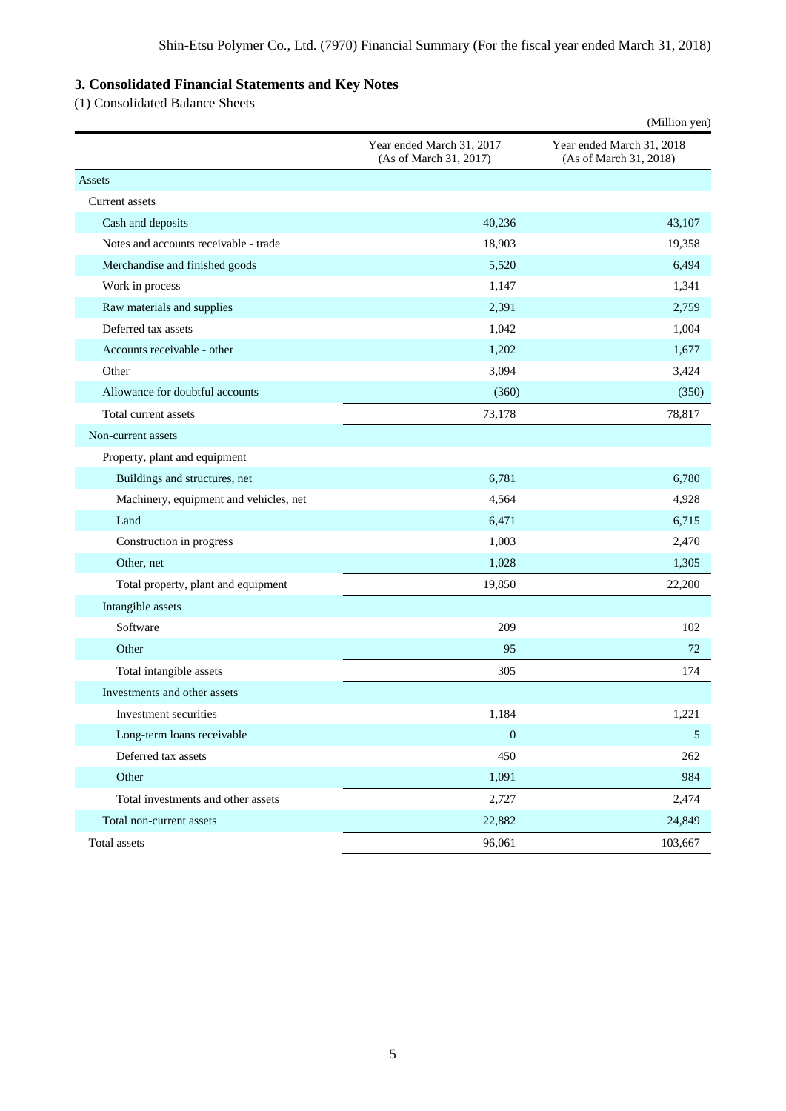# **3. Consolidated Financial Statements and Key Notes**

(1) Consolidated Balance Sheets

|                                        |                                                     | (Million yen)                                       |
|----------------------------------------|-----------------------------------------------------|-----------------------------------------------------|
|                                        | Year ended March 31, 2017<br>(As of March 31, 2017) | Year ended March 31, 2018<br>(As of March 31, 2018) |
| Assets                                 |                                                     |                                                     |
| Current assets                         |                                                     |                                                     |
| Cash and deposits                      | 40,236                                              | 43,107                                              |
| Notes and accounts receivable - trade  | 18,903                                              | 19,358                                              |
| Merchandise and finished goods         | 5,520                                               | 6,494                                               |
| Work in process                        | 1,147                                               | 1,341                                               |
| Raw materials and supplies             | 2,391                                               | 2,759                                               |
| Deferred tax assets                    | 1,042                                               | 1,004                                               |
| Accounts receivable - other            | 1,202                                               | 1,677                                               |
| Other                                  | 3,094                                               | 3,424                                               |
| Allowance for doubtful accounts        | (360)                                               | (350)                                               |
| Total current assets                   | 73,178                                              | 78,817                                              |
| Non-current assets                     |                                                     |                                                     |
| Property, plant and equipment          |                                                     |                                                     |
| Buildings and structures, net          | 6,781                                               | 6,780                                               |
| Machinery, equipment and vehicles, net | 4,564                                               | 4,928                                               |
| Land                                   | 6,471                                               | 6,715                                               |
| Construction in progress               | 1,003                                               | 2,470                                               |
| Other, net                             | 1,028                                               | 1,305                                               |
| Total property, plant and equipment    | 19,850                                              | 22,200                                              |
| Intangible assets                      |                                                     |                                                     |
| Software                               | 209                                                 | 102                                                 |
| Other                                  | 95                                                  | 72                                                  |
| Total intangible assets                | 305                                                 | 174                                                 |
| Investments and other assets           |                                                     |                                                     |
| Investment securities                  | 1,184                                               | 1,221                                               |
| Long-term loans receivable             | $\boldsymbol{0}$                                    | 5                                                   |
| Deferred tax assets                    | 450                                                 | 262                                                 |
| Other                                  | 1,091                                               | 984                                                 |
| Total investments and other assets     | 2,727                                               | 2,474                                               |
| Total non-current assets               | 22,882                                              | 24,849                                              |
| Total assets                           | 96,061                                              | 103,667                                             |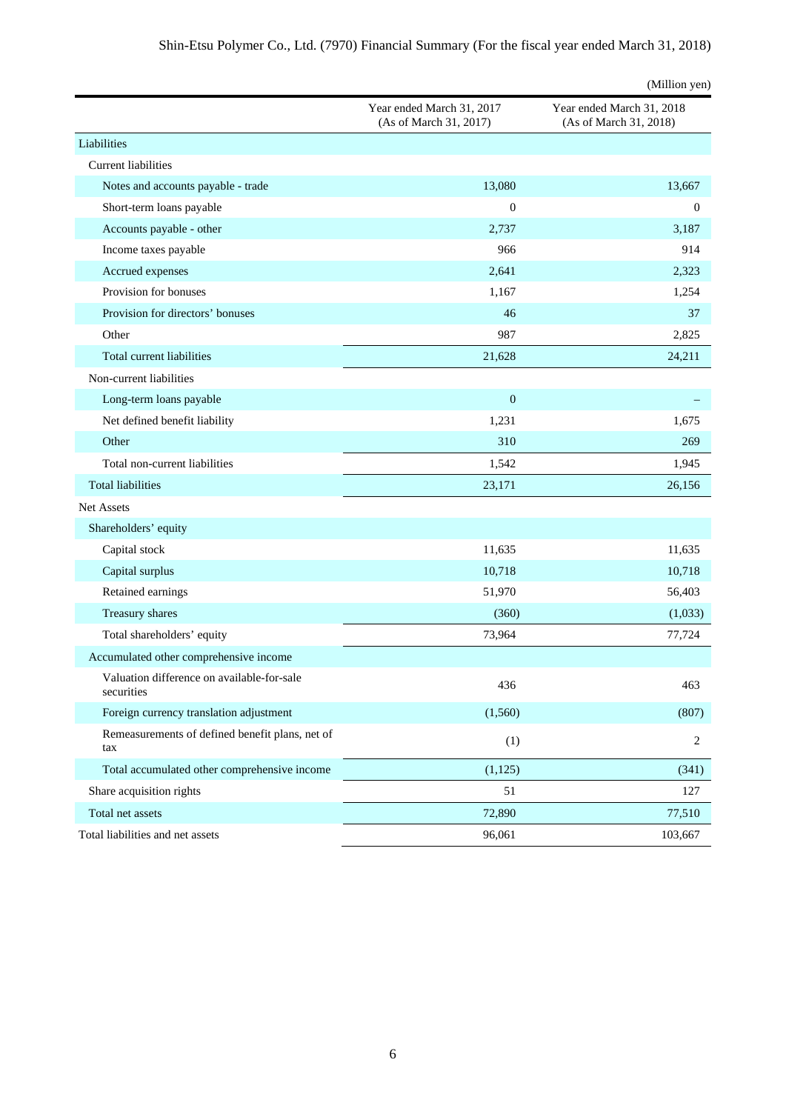|                                                          |                                                     | (Million yen)                                       |
|----------------------------------------------------------|-----------------------------------------------------|-----------------------------------------------------|
|                                                          | Year ended March 31, 2017<br>(As of March 31, 2017) | Year ended March 31, 2018<br>(As of March 31, 2018) |
| Liabilities                                              |                                                     |                                                     |
| <b>Current liabilities</b>                               |                                                     |                                                     |
| Notes and accounts payable - trade                       | 13,080                                              | 13,667                                              |
| Short-term loans payable                                 | $\boldsymbol{0}$                                    | $\mathbf{0}$                                        |
| Accounts payable - other                                 | 2,737                                               | 3,187                                               |
| Income taxes payable                                     | 966                                                 | 914                                                 |
| Accrued expenses                                         | 2,641                                               | 2,323                                               |
| Provision for bonuses                                    | 1,167                                               | 1,254                                               |
| Provision for directors' bonuses                         | 46                                                  | 37                                                  |
| Other                                                    | 987                                                 | 2,825                                               |
| Total current liabilities                                | 21,628                                              | 24,211                                              |
| Non-current liabilities                                  |                                                     |                                                     |
| Long-term loans payable                                  | $\boldsymbol{0}$                                    |                                                     |
| Net defined benefit liability                            | 1,231                                               | 1,675                                               |
| Other                                                    | 310                                                 | 269                                                 |
| Total non-current liabilities                            | 1,542                                               | 1,945                                               |
| <b>Total liabilities</b>                                 | 23,171                                              | 26,156                                              |
| <b>Net Assets</b>                                        |                                                     |                                                     |
| Shareholders' equity                                     |                                                     |                                                     |
| Capital stock                                            | 11,635                                              | 11,635                                              |
| Capital surplus                                          | 10,718                                              | 10,718                                              |
| Retained earnings                                        | 51,970                                              | 56,403                                              |
| Treasury shares                                          | (360)                                               | (1,033)                                             |
| Total shareholders' equity                               | 73,964                                              | 77,724                                              |
| Accumulated other comprehensive income                   |                                                     |                                                     |
| Valuation difference on available-for-sale<br>securities | 436                                                 | 463                                                 |
| Foreign currency translation adjustment                  | (1, 560)                                            | (807)                                               |
| Remeasurements of defined benefit plans, net of<br>tax   | (1)                                                 | 2                                                   |
| Total accumulated other comprehensive income             | (1, 125)                                            | (341)                                               |
| Share acquisition rights                                 | 51                                                  | 127                                                 |
| Total net assets                                         | 72,890                                              | 77,510                                              |
| Total liabilities and net assets                         | 96,061                                              | 103,667                                             |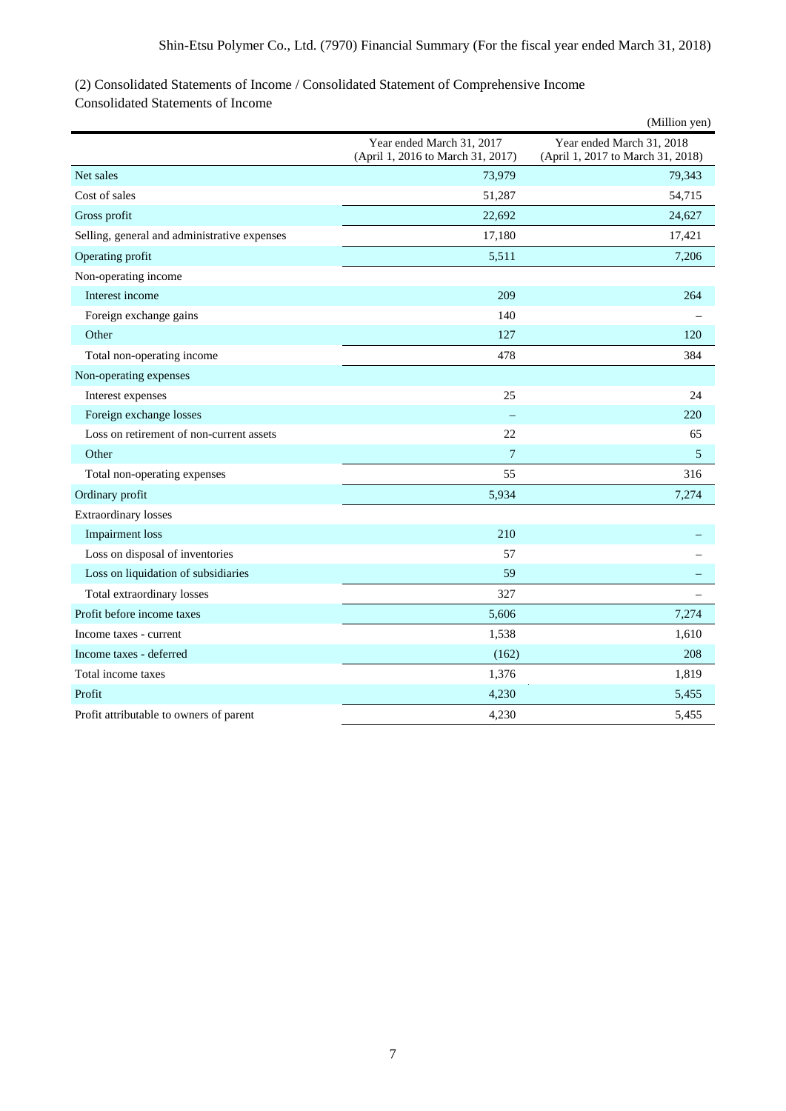# (2) Consolidated Statements of Income / Consolidated Statement of Comprehensive Income

Consolidated Statements of Income

|                                              |                                                                | (Million yen)                                                  |
|----------------------------------------------|----------------------------------------------------------------|----------------------------------------------------------------|
|                                              | Year ended March 31, 2017<br>(April 1, 2016 to March 31, 2017) | Year ended March 31, 2018<br>(April 1, 2017 to March 31, 2018) |
| Net sales                                    | 73,979                                                         | 79,343                                                         |
| Cost of sales                                | 51,287                                                         | 54,715                                                         |
| Gross profit                                 | 22,692                                                         | 24,627                                                         |
| Selling, general and administrative expenses | 17,180                                                         | 17,421                                                         |
| Operating profit                             | 5,511                                                          | 7,206                                                          |
| Non-operating income                         |                                                                |                                                                |
| Interest income                              | 209                                                            | 264                                                            |
| Foreign exchange gains                       | 140                                                            |                                                                |
| Other                                        | 127                                                            | 120                                                            |
| Total non-operating income                   | 478                                                            | 384                                                            |
| Non-operating expenses                       |                                                                |                                                                |
| Interest expenses                            | 25                                                             | 24                                                             |
| Foreign exchange losses                      |                                                                | 220                                                            |
| Loss on retirement of non-current assets     | 22                                                             | 65                                                             |
| Other                                        | $\overline{7}$                                                 | 5                                                              |
| Total non-operating expenses                 | 55                                                             | 316                                                            |
| Ordinary profit                              | 5,934                                                          | 7,274                                                          |
| <b>Extraordinary losses</b>                  |                                                                |                                                                |
| <b>Impairment</b> loss                       | 210                                                            |                                                                |
| Loss on disposal of inventories              | 57                                                             |                                                                |
| Loss on liquidation of subsidiaries          | 59                                                             |                                                                |
| Total extraordinary losses                   | 327                                                            |                                                                |
| Profit before income taxes                   | 5,606                                                          | 7,274                                                          |
| Income taxes - current                       | 1,538                                                          | 1,610                                                          |
| Income taxes - deferred                      | (162)                                                          | 208                                                            |
| Total income taxes                           | 1,376                                                          | 1,819                                                          |
| Profit                                       | 4,230                                                          | 5,455                                                          |
| Profit attributable to owners of parent      | 4,230                                                          | 5,455                                                          |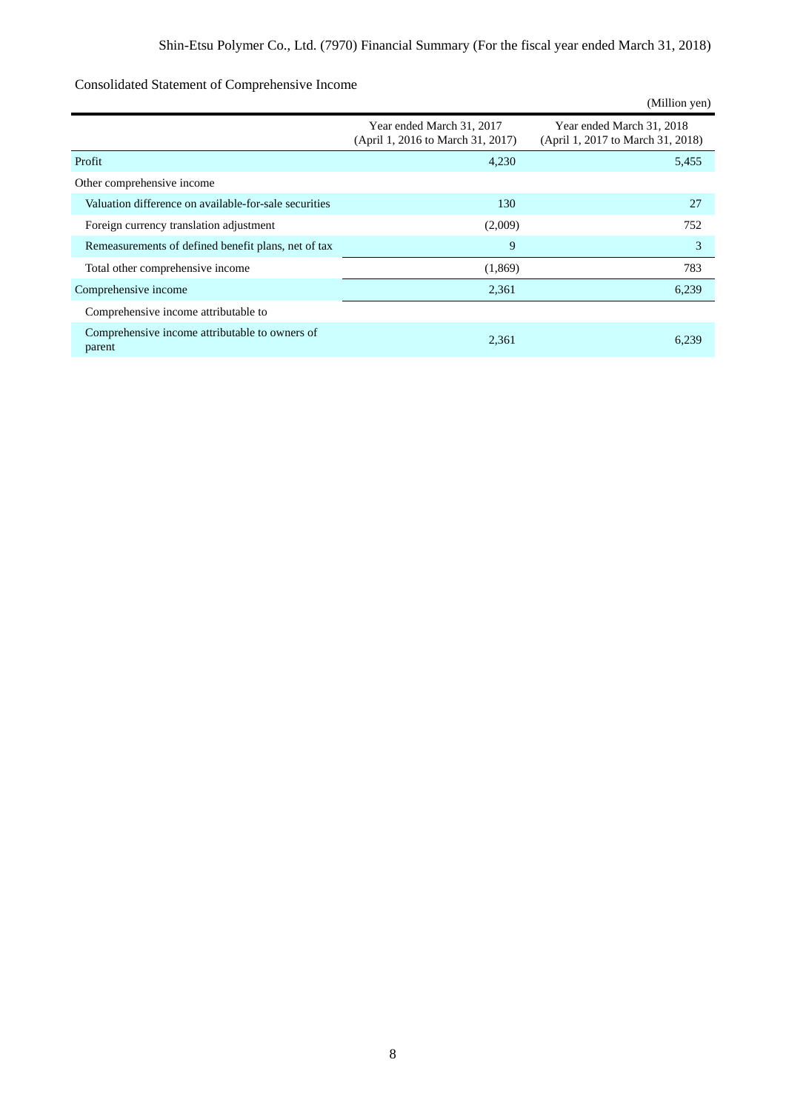|                                                          |                                                                | (Million yen)                                                  |
|----------------------------------------------------------|----------------------------------------------------------------|----------------------------------------------------------------|
|                                                          | Year ended March 31, 2017<br>(April 1, 2016 to March 31, 2017) | Year ended March 31, 2018<br>(April 1, 2017 to March 31, 2018) |
| Profit                                                   | 4,230                                                          | 5,455                                                          |
| Other comprehensive income                               |                                                                |                                                                |
| Valuation difference on available-for-sale securities    | 130                                                            | 27                                                             |
| Foreign currency translation adjustment                  | (2,009)                                                        | 752                                                            |
| Remeasurements of defined benefit plans, net of tax      | 9                                                              | 3                                                              |
| Total other comprehensive income                         | (1,869)                                                        | 783                                                            |
| Comprehensive income                                     | 2,361                                                          | 6,239                                                          |
| Comprehensive income attributable to                     |                                                                |                                                                |
| Comprehensive income attributable to owners of<br>parent | 2,361                                                          | 6.239                                                          |

# Consolidated Statement of Comprehensive Income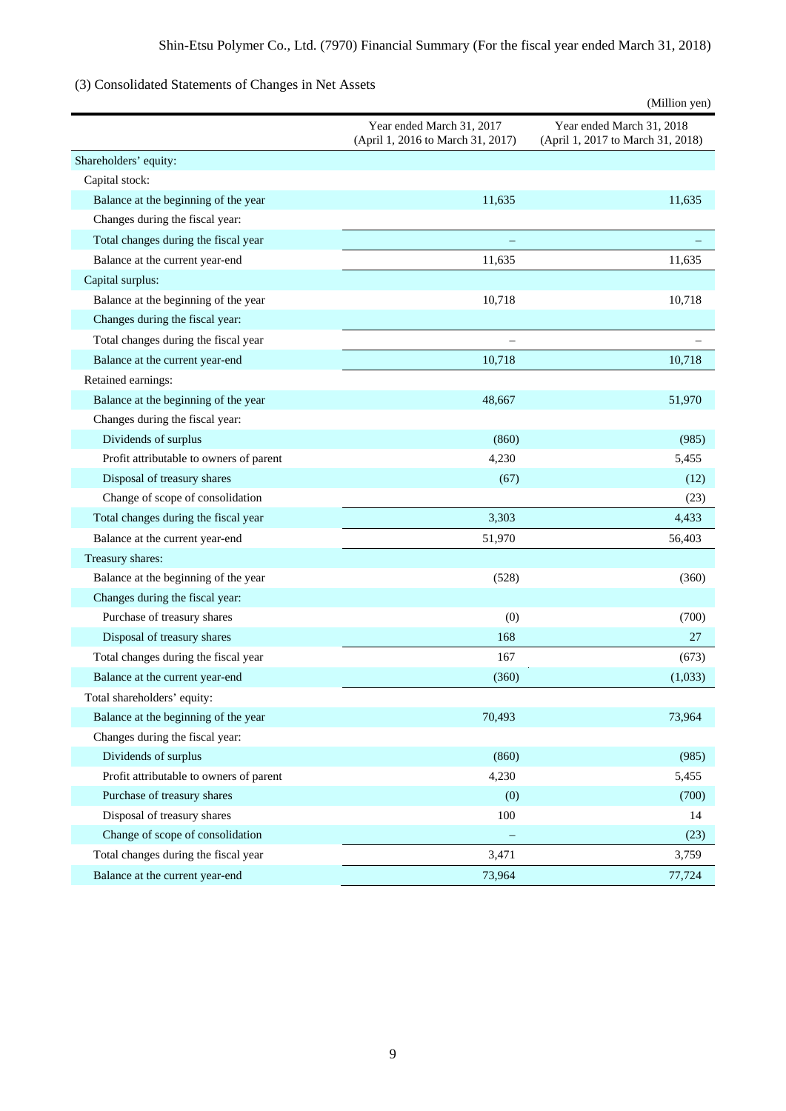# (3) Consolidated Statements of Changes in Net Assets

|                                         |                                                                | (Million yen)                                                  |
|-----------------------------------------|----------------------------------------------------------------|----------------------------------------------------------------|
|                                         | Year ended March 31, 2017<br>(April 1, 2016 to March 31, 2017) | Year ended March 31, 2018<br>(April 1, 2017 to March 31, 2018) |
| Shareholders' equity:                   |                                                                |                                                                |
| Capital stock:                          |                                                                |                                                                |
| Balance at the beginning of the year    | 11,635                                                         | 11,635                                                         |
| Changes during the fiscal year:         |                                                                |                                                                |
| Total changes during the fiscal year    |                                                                |                                                                |
| Balance at the current year-end         | 11,635                                                         | 11,635                                                         |
| Capital surplus:                        |                                                                |                                                                |
| Balance at the beginning of the year    | 10,718                                                         | 10,718                                                         |
| Changes during the fiscal year:         |                                                                |                                                                |
| Total changes during the fiscal year    |                                                                |                                                                |
| Balance at the current year-end         | 10,718                                                         | 10,718                                                         |
| Retained earnings:                      |                                                                |                                                                |
| Balance at the beginning of the year    | 48,667                                                         | 51,970                                                         |
| Changes during the fiscal year:         |                                                                |                                                                |
| Dividends of surplus                    | (860)                                                          | (985)                                                          |
| Profit attributable to owners of parent | 4,230                                                          | 5,455                                                          |
| Disposal of treasury shares             | (67)                                                           | (12)                                                           |
| Change of scope of consolidation        |                                                                | (23)                                                           |
| Total changes during the fiscal year    | 3,303                                                          | 4,433                                                          |
| Balance at the current year-end         | 51,970                                                         | 56,403                                                         |
| Treasury shares:                        |                                                                |                                                                |
| Balance at the beginning of the year    | (528)                                                          | (360)                                                          |
| Changes during the fiscal year:         |                                                                |                                                                |
| Purchase of treasury shares             | (0)                                                            | (700)                                                          |
| Disposal of treasury shares             | 168                                                            | 27                                                             |
| Total changes during the fiscal year    | 167                                                            | (673)                                                          |
| Balance at the current year-end         | (360)                                                          | (1,033)                                                        |
| Total shareholders' equity:             |                                                                |                                                                |
| Balance at the beginning of the year    | 70,493                                                         | 73,964                                                         |
| Changes during the fiscal year:         |                                                                |                                                                |
| Dividends of surplus                    | (860)                                                          | (985)                                                          |
| Profit attributable to owners of parent | 4,230                                                          | 5,455                                                          |
| Purchase of treasury shares             | (0)                                                            | (700)                                                          |
| Disposal of treasury shares             | 100                                                            | 14                                                             |
| Change of scope of consolidation        |                                                                | (23)                                                           |
| Total changes during the fiscal year    | 3,471                                                          | 3,759                                                          |
| Balance at the current year-end         | 73,964                                                         | 77,724                                                         |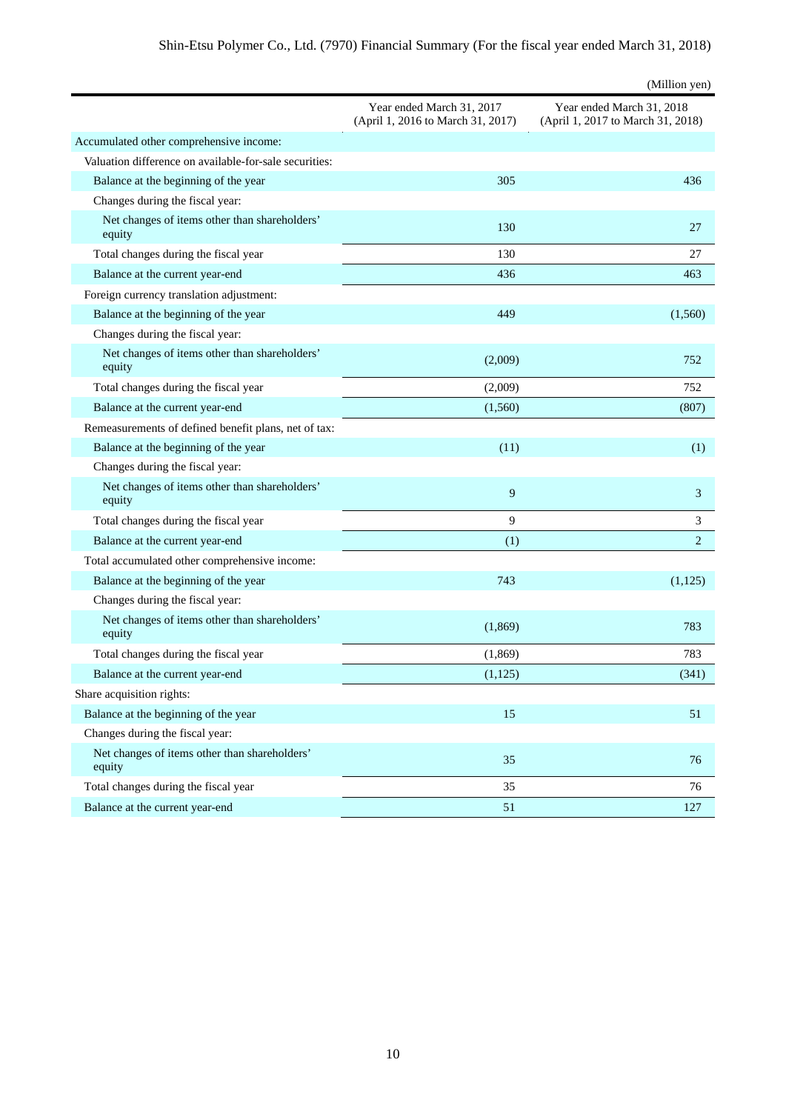|                                                         |                                                                | (Million yen)                                                  |
|---------------------------------------------------------|----------------------------------------------------------------|----------------------------------------------------------------|
|                                                         | Year ended March 31, 2017<br>(April 1, 2016 to March 31, 2017) | Year ended March 31, 2018<br>(April 1, 2017 to March 31, 2018) |
| Accumulated other comprehensive income:                 |                                                                |                                                                |
| Valuation difference on available-for-sale securities:  |                                                                |                                                                |
| Balance at the beginning of the year                    | 305                                                            | 436                                                            |
| Changes during the fiscal year:                         |                                                                |                                                                |
| Net changes of items other than shareholders'<br>equity | 130                                                            | 27                                                             |
| Total changes during the fiscal year                    | 130                                                            | 27                                                             |
| Balance at the current year-end                         | 436                                                            | 463                                                            |
| Foreign currency translation adjustment:                |                                                                |                                                                |
| Balance at the beginning of the year                    | 449                                                            | (1,560)                                                        |
| Changes during the fiscal year:                         |                                                                |                                                                |
| Net changes of items other than shareholders'<br>equity | (2,009)                                                        | 752                                                            |
| Total changes during the fiscal year                    | (2,009)                                                        | 752                                                            |
| Balance at the current year-end                         | (1,560)                                                        | (807)                                                          |
| Remeasurements of defined benefit plans, net of tax:    |                                                                |                                                                |
| Balance at the beginning of the year                    | (11)                                                           | (1)                                                            |
| Changes during the fiscal year:                         |                                                                |                                                                |
| Net changes of items other than shareholders'<br>equity | 9                                                              | 3                                                              |
| Total changes during the fiscal year                    | 9                                                              | 3                                                              |
| Balance at the current year-end                         | (1)                                                            | $\overline{2}$                                                 |
| Total accumulated other comprehensive income:           |                                                                |                                                                |
| Balance at the beginning of the year                    | 743                                                            | (1,125)                                                        |
| Changes during the fiscal year:                         |                                                                |                                                                |
| Net changes of items other than shareholders'<br>equity | (1,869)                                                        | 783                                                            |
| Total changes during the fiscal year                    | (1,869)                                                        | 783                                                            |
| Balance at the current year-end                         | (1, 125)                                                       | (341)                                                          |
| Share acquisition rights:                               |                                                                |                                                                |
| Balance at the beginning of the year                    | 15                                                             | 51                                                             |
| Changes during the fiscal year:                         |                                                                |                                                                |
| Net changes of items other than shareholders'<br>equity | 35                                                             | 76                                                             |
| Total changes during the fiscal year                    | 35                                                             | 76                                                             |
| Balance at the current year-end                         | 51                                                             | 127                                                            |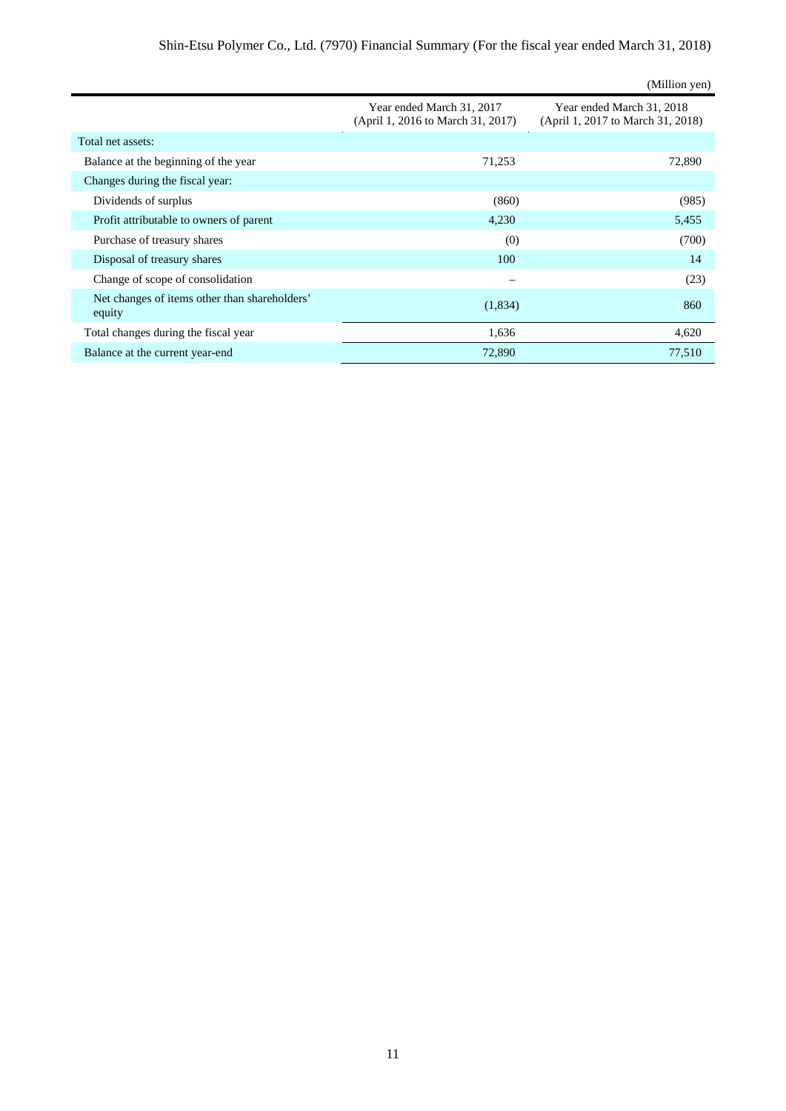|                                                         |                                                                | (Million yen)                                                  |
|---------------------------------------------------------|----------------------------------------------------------------|----------------------------------------------------------------|
|                                                         | Year ended March 31, 2017<br>(April 1, 2016 to March 31, 2017) | Year ended March 31, 2018<br>(April 1, 2017 to March 31, 2018) |
| Total net assets:                                       |                                                                |                                                                |
| Balance at the beginning of the year                    | 71,253                                                         | 72,890                                                         |
| Changes during the fiscal year:                         |                                                                |                                                                |
| Dividends of surplus                                    | (860)                                                          | (985)                                                          |
| Profit attributable to owners of parent                 | 4,230                                                          | 5,455                                                          |
| Purchase of treasury shares                             | (0)                                                            | (700)                                                          |
| Disposal of treasury shares                             | 100                                                            | 14                                                             |
| Change of scope of consolidation                        |                                                                | (23)                                                           |
| Net changes of items other than shareholders'<br>equity | (1,834)                                                        | 860                                                            |
| Total changes during the fiscal year                    | 1,636                                                          | 4,620                                                          |
| Balance at the current year-end                         | 72,890                                                         | 77,510                                                         |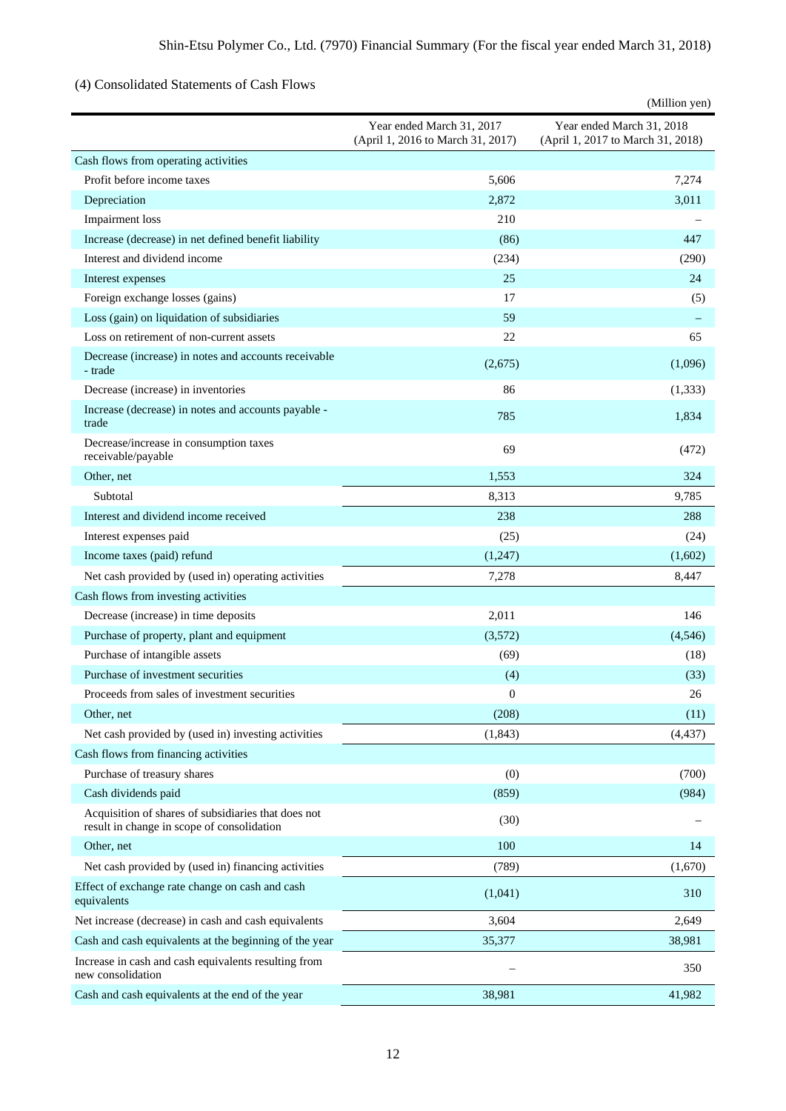# (4) Consolidated Statements of Cash Flows

|                                                                                                   |                                                                | (Million yen)                                                  |
|---------------------------------------------------------------------------------------------------|----------------------------------------------------------------|----------------------------------------------------------------|
|                                                                                                   | Year ended March 31, 2017<br>(April 1, 2016 to March 31, 2017) | Year ended March 31, 2018<br>(April 1, 2017 to March 31, 2018) |
| Cash flows from operating activities                                                              |                                                                |                                                                |
| Profit before income taxes                                                                        | 5,606                                                          | 7,274                                                          |
| Depreciation                                                                                      | 2,872                                                          | 3,011                                                          |
| Impairment loss                                                                                   | 210                                                            |                                                                |
| Increase (decrease) in net defined benefit liability                                              | (86)                                                           | 447                                                            |
| Interest and dividend income                                                                      | (234)                                                          | (290)                                                          |
| Interest expenses                                                                                 | 25                                                             | 24                                                             |
| Foreign exchange losses (gains)                                                                   | 17                                                             | (5)                                                            |
| Loss (gain) on liquidation of subsidiaries                                                        | 59                                                             |                                                                |
| Loss on retirement of non-current assets                                                          | 22                                                             | 65                                                             |
| Decrease (increase) in notes and accounts receivable<br>- trade                                   | (2,675)                                                        | (1,096)                                                        |
| Decrease (increase) in inventories                                                                | 86                                                             | (1,333)                                                        |
| Increase (decrease) in notes and accounts payable -<br>trade                                      | 785                                                            | 1,834                                                          |
| Decrease/increase in consumption taxes<br>receivable/payable                                      | 69                                                             | (472)                                                          |
| Other, net                                                                                        | 1.553                                                          | 324                                                            |
| Subtotal                                                                                          | 8,313                                                          | 9,785                                                          |
| Interest and dividend income received                                                             | 238                                                            | 288                                                            |
| Interest expenses paid                                                                            | (25)                                                           | (24)                                                           |
| Income taxes (paid) refund                                                                        | (1,247)                                                        | (1,602)                                                        |
| Net cash provided by (used in) operating activities                                               | 7,278                                                          | 8,447                                                          |
| Cash flows from investing activities                                                              |                                                                |                                                                |
| Decrease (increase) in time deposits                                                              | 2,011                                                          | 146                                                            |
| Purchase of property, plant and equipment                                                         | (3,572)                                                        | (4,546)                                                        |
| Purchase of intangible assets                                                                     | (69)                                                           | (18)                                                           |
| Purchase of investment securities                                                                 | (4)                                                            | (33)                                                           |
| Proceeds from sales of investment securities                                                      | $\boldsymbol{0}$                                               | 26                                                             |
| Other, net                                                                                        | (208)                                                          | (11)                                                           |
| Net cash provided by (used in) investing activities                                               | (1, 843)                                                       | (4, 437)                                                       |
| Cash flows from financing activities                                                              |                                                                |                                                                |
| Purchase of treasury shares                                                                       | (0)                                                            | (700)                                                          |
| Cash dividends paid                                                                               | (859)                                                          | (984)                                                          |
| Acquisition of shares of subsidiaries that does not<br>result in change in scope of consolidation | (30)                                                           |                                                                |
| Other, net                                                                                        | 100                                                            | 14                                                             |
| Net cash provided by (used in) financing activities                                               | (789)                                                          | (1,670)                                                        |
| Effect of exchange rate change on cash and cash<br>equivalents                                    | (1,041)                                                        | 310                                                            |
| Net increase (decrease) in cash and cash equivalents                                              | 3,604                                                          | 2,649                                                          |
| Cash and cash equivalents at the beginning of the year                                            | 35,377                                                         | 38,981                                                         |
| Increase in cash and cash equivalents resulting from<br>new consolidation                         |                                                                | 350                                                            |
| Cash and cash equivalents at the end of the year                                                  | 38,981                                                         | 41,982                                                         |